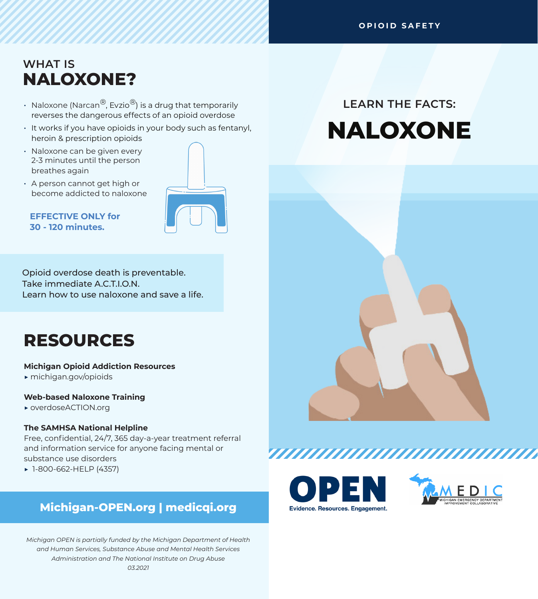## **WHAT IS NALOXONE?**

- Naloxone (Narcan $^{\circledR}$ , Evzio $^{\circledR}$ ) is a drug that temporarily reverses the dangerous effects of an opioid overdose
- It works if you have opioids in your body such as fentanyl, heroin & prescription opioids
- Naloxone can be given every 2-3 minutes until the person breathes again
- A person cannot get high or become addicted to naloxone

**EFFECTIVE ONLY for 30 - 120 minutes.**



Opioid overdose death is preventable. Take immediate A.C.T.I.O.N. Learn how to use naloxone and save a life.

# **RESOURCES**

#### **Michigan Opioid Addiction Resources**

**▶** michigan.gov/opioids

#### **Web-based Naloxone Training**

**▶** overdoseACTION.org

#### **The SAMHSA National Helpline**

Free, confidential, 24/7, 365 day-a-year treatment referral and information service for anyone facing mental or substance use disorders

▶ 1-800-662-HELP (4357)

## **Michigan-OPEN.org | medicqi.org**

*Michigan OPEN is partially funded by the Michigan Department of Health and Human Services, Substance Abuse and Mental Health Services Administration and The National Institute on Drug Abuse 03.2021*

# **NALOXONE LEARN THE FACTS:**





<u>TIINININININININININ</u>